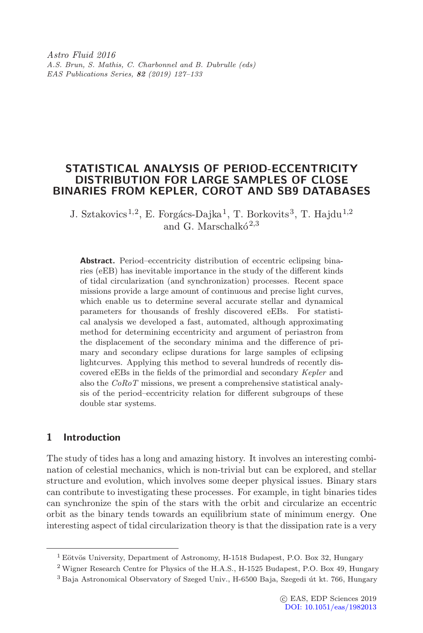Astro Fluid 2016 A.S. Brun, S. Mathis, C. Charbonnel and B. Dubrulle (eds) EAS Publications Series, 82 (2019) 127–133

# STATISTICAL ANALYSIS OF PERIOD-ECCENTRICITY DISTRIBUTION FOR LARGE SAMPLES OF CLOSE BINARIES FROM KEPLER, COROT AND SB9 DATABASES

J. Sztakovics<sup>1,2</sup>, E. Forgács-Dajka<sup>1</sup>, T. Borkovits<sup>3</sup>, T. Hajdu<sup>1,2</sup> and G. Marschalk $\acute{o}^{2,3}$ 

Abstract. Period–eccentricity distribution of eccentric eclipsing binaries (eEB) has inevitable importance in the study of the different kinds of tidal circularization (and synchronization) processes. Recent space missions provide a large amount of continuous and precise light curves, which enable us to determine several accurate stellar and dynamical parameters for thousands of freshly discovered eEBs. For statistical analysis we developed a fast, automated, although approximating method for determining eccentricity and argument of periastron from the displacement of the secondary minima and the difference of primary and secondary eclipse durations for large samples of eclipsing lightcurves. Applying this method to several hundreds of recently discovered eEBs in the fields of the primordial and secondary Kepler and also the CoRoT missions, we present a comprehensive statistical analysis of the period–eccentricity relation for different subgroups of these double star systems.

## <span id="page-0-0"></span>1 Introduction

The study of tides has a long and amazing history. It involves an interesting combination of celestial mechanics, which is non-trivial but can be explored, and stellar structure and evolution, which involves some deeper physical issues. Binary stars can contribute to investigating these processes. For example, in tight binaries tides can synchronize the spin of the stars with the orbit and circularize an eccentric orbit as the binary tends towards an equilibrium state of minimum energy. One interesting aspect of tidal circularization theory is that the dissipation rate is a very

 $1$  Eötvös University, Department of Astronomy, H-1518 Budapest, P.O. Box 32, Hungary

<sup>2</sup> Wigner Research Centre for Physics of the H.A.S., H-1525 Budapest, P.O. Box 49, Hungary

<sup>&</sup>lt;sup>3</sup> Baja Astronomical Observatory of Szeged Univ., H-6500 Baja, Szegedi út kt. 766, Hungary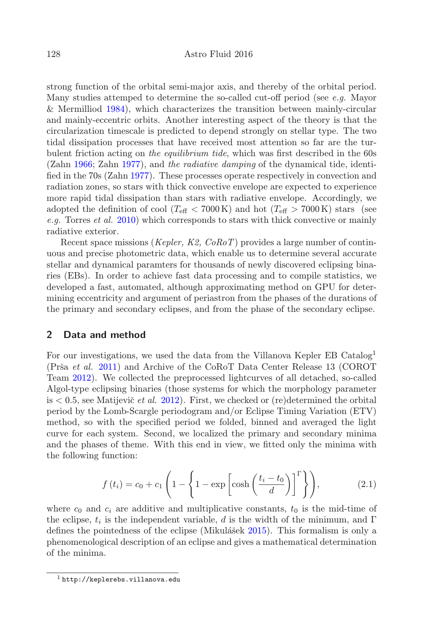strong function of the orbital semi-major axis, and thereby of the orbital period. Many studies attemped to determine the so-called cut-off period (see e.g. Mayor & Mermilliod [1984\)](#page-4-0), which characterizes the transition between mainly-circular and mainly-eccentric orbits. Another interesting aspect of the theory is that the circularization timescale is predicted to depend strongly on stellar type. The two tidal dissipation processes that have received most attention so far are the turbulent friction acting on the equilibrium tide, which was first described in the 60s (Zahn [1966;](#page-4-1) Zahn [1977\)](#page-4-2), and the radiative damping of the dynamical tide, identified in the 70s (Zahn [1977\)](#page-4-2). These processes operate respectively in convection and radiation zones, so stars with thick convective envelope are expected to experience more rapid tidal dissipation than stars with radiative envelope. Accordingly, we adopted the definition of cool ( $T_{\text{eff}}$  < 7000 K) and hot ( $T_{\text{eff}}$  > 7000 K) stars (see e.g. Torres et al. [2010\)](#page-4-3) which corresponds to stars with thick convective or mainly radiative exterior.

Recent space missions (*Kepler, K2,*  $CoRoT$ *)* provides a large number of continuous and precise photometric data, which enable us to determine several accurate stellar and dynamical paramters for thousands of newly discovered eclipsing binaries (EBs). In order to achieve fast data processing and to compile statistics, we developed a fast, automated, although approximating method on GPU for determining eccentricity and argument of periastron from the phases of the durations of the primary and secondary eclipses, and from the phase of the secondary eclipse.

### 2 Data and method

For our investigations, we used the data from the Villanova Kepler EB Catalog<sup>1</sup> (Prša et al. [2011\)](#page-4-4) and Archive of the CoRoT Data Center Release 13 (COROT Team [2012\)](#page-4-5). We collected the preprocessed lightcurves of all detached, so-called Algol-type eclipsing binaries (those systems for which the morphology parameter is  $\lt 0.5$ , see Matijevič *et al.* [2012\)](#page-4-6). First, we checked or (re)determined the orbital period by the Lomb-Scargle periodogram and/or Eclipse Timing Variation (ETV) method, so with the specified period we folded, binned and averaged the light curve for each system. Second, we localized the primary and secondary minima and the phases of theme. With this end in view, we fitted only the minima with the following function:

$$
f(t_i) = c_0 + c_1 \left( 1 - \left\{ 1 - \exp\left[\cosh\left(\frac{t_i - t_0}{d}\right)\right]^\Gamma \right\} \right),\tag{2.1}
$$

where  $c_0$  and  $c_i$  are additive and multiplicative constants,  $t_0$  is the mid-time of the eclipse,  $t_i$  is the independent variable, d is the width of the minimum, and Γ defines the pointedness of the eclipse (Mikulášek  $2015$ ). This formalism is only a phenomenological description of an eclipse and gives a mathematical determination of the minima.

<sup>1</sup> http://keplerebs.villanova.edu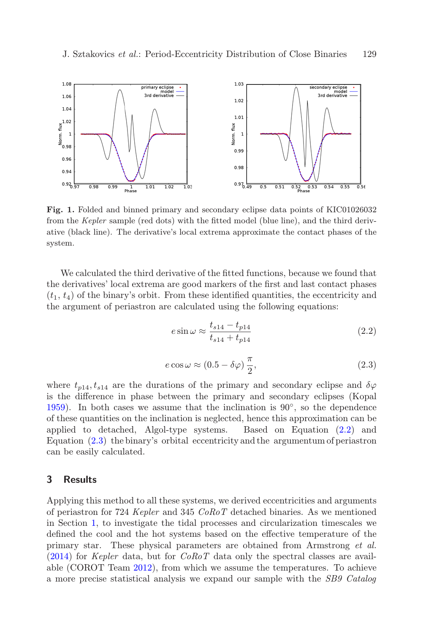

Fig. 1. Folded and binned primary and secondary eclipse data points of KIC01026032 from the Kepler sample (red dots) with the fitted model (blue line), and the third derivative (black line). The derivative's local extrema approximate the contact phases of the system.

We calculated the third derivative of the fitted functions, because we found that the derivatives' local extrema are good markers of the first and last contact phases  $(t_1, t_4)$  of the binary's orbit. From these identified quantities, the eccentricity and the argument of periastron are calculated using the following equations:

$$
e \sin \omega \approx \frac{t_{s14} - t_{p14}}{t_{s14} + t_{p14}}
$$
 (2.2)

<span id="page-2-0"></span>
$$
e\cos\omega \approx (0.5 - \delta\varphi)\frac{\pi}{2},\tag{2.3}
$$

<span id="page-2-1"></span>where  $t_{p14}, t_{s14}$  are the durations of the primary and secondary eclipse and  $\delta\varphi$ is the difference in phase between the primary and secondary eclipses (Kopal [1959\)](#page-4-8). In both cases we assume that the inclination is  $90^\circ$ , so the dependence of these quantities on the inclination is neglected, hence this approximation can be applied to detached, Algol-type systems. Based on Equation [\(2.2\)](#page-2-0) and Equation [\(2.3\)](#page-2-1) the binary's orbital eccentricity and the argumentum of periastron can be easily calculated.

### 3 Results

Applying this method to all these systems, we derived eccentricities and arguments of periastron for 724 Kepler and 345 CoRoT detached binaries. As we mentioned in Section [1,](#page-0-0) to investigate the tidal processes and circularization timescales we defined the cool and the hot systems based on the effective temperature of the primary star. These physical parameters are obtained from Armstrong et al.  $(2014)$  for *Kepler* data, but for *CoRoT* data only the spectral classes are available (COROT Team [2012\)](#page-4-5), from which we assume the temperatures. To achieve a more precise statistical analysis we expand our sample with the SB9 Catalog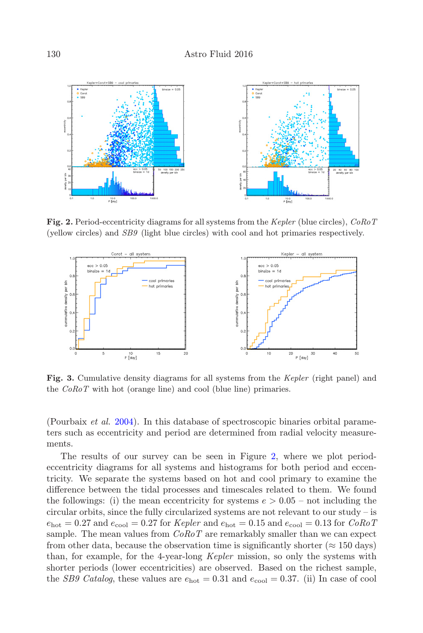

<span id="page-3-0"></span>Fig. 2. Period-eccentricity diagrams for all systems from the Kepler (blue circles),  $CoRoT$ (yellow circles) and SB9 (light blue circles) with cool and hot primaries respectively.



<span id="page-3-1"></span>Fig. 3. Cumulative density diagrams for all systems from the Kepler (right panel) and the CoRoT with hot (orange line) and cool (blue line) primaries.

(Pourbaix et al. [2004\)](#page-4-10). In this database of spectroscopic binaries orbital parameters such as eccentricity and period are determined from radial velocity measurements.

The results of our survey can be seen in Figure [2,](#page-3-0) where we plot periodeccentricity diagrams for all systems and histograms for both period and eccentricity. We separate the systems based on hot and cool primary to examine the difference between the tidal processes and timescales related to them. We found the followings: (i) the mean eccentricity for systems  $e > 0.05$  – not including the circular orbits, since the fully circularized systems are not relevant to our study – is  $e_{hot} = 0.27$  and  $e_{cool} = 0.27$  for Kepler and  $e_{hot} = 0.15$  and  $e_{cool} = 0.13$  for  $CoRoT$ sample. The mean values from  $CoRoT$  are remarkably smaller than we can expect from other data, because the observation time is significantly shorter ( $\approx 150$  days) than, for example, for the 4-year-long Kepler mission, so only the systems with shorter periods (lower eccentricities) are observed. Based on the richest sample, the *SB9 Catalog*, these values are  $e_{\text{hot}} = 0.31$  and  $e_{\text{cool}} = 0.37$ . (ii) In case of cool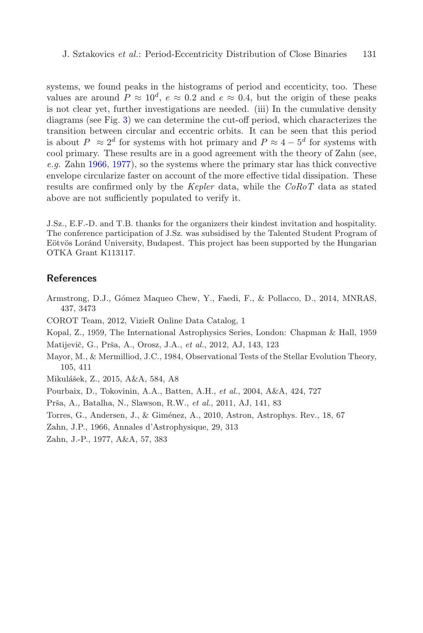systems, we found peaks in the histograms of period and eccenticity, too. These values are around  $P \approx 10^d$ ,  $e \approx 0.2$  and  $e \approx 0.4$ , but the origin of these peaks is not clear yet, further investigations are needed. (iii) In the cumulative density diagrams (see Fig. [3\)](#page-3-1) we can determine the cut-off period, which characterizes the transition between circular and eccentric orbits. It can be seen that this period is about  $P \approx 2^d$  for systems with hot primary and  $P \approx 4-5^d$  for systems with cool primary. These results are in a good agreement with the theory of Zahn (see, e.g. Zahn [1966,](#page-4-1) [1977\)](#page-4-2), so the systems where the primary star has thick convective envelope circularize faster on account of the more effective tidal dissipation. These results are confirmed only by the Kepler data, while the CoRoT data as stated above are not sufficiently populated to verify it.

J.Sz., E.F.-D. and T.B. thanks for the organizers their kindest invitation and hospitality. The conference participation of J.Sz. was subsidised by the Talented Student Program of Eötvös Loránd University, Budapest. This project has been supported by the Hungarian OTKA Grant K113117.

#### References

- <span id="page-4-9"></span>Armstrong, D.J., Gómez Maqueo Chew, Y., Faedi, F., & Pollacco, D., 2014, MNRAS, 437, 3473
- <span id="page-4-5"></span>COROT Team, 2012, VizieR Online Data Catalog, 1
- <span id="page-4-8"></span>Kopal, Z., 1959, The International Astrophysics Series, London: Chapman & Hall, 1959
- <span id="page-4-6"></span>Matijevič, G., Prša, A., Orosz, J.A., et al., 2012, AJ, 143, 123
- <span id="page-4-0"></span>Mayor, M., & Mermilliod, J.C., 1984, Observational Tests of the Stellar Evolution Theory, 105, 411
- <span id="page-4-7"></span>Mikulášek, Z., 2015, A&A, 584, A8
- <span id="page-4-10"></span>Pourbaix, D., Tokovinin, A.A., Batten, A.H., et al., 2004, A&A, 424, 727
- <span id="page-4-4"></span>Prša, A., Batalha, N., Slawson, R.W., et al., 2011, AJ, 141, 83
- <span id="page-4-3"></span>Torres, G., Andersen, J., & Giménez, A., 2010, Astron, Astrophys. Rev., 18, 67
- <span id="page-4-1"></span>Zahn, J.P., 1966, Annales d'Astrophysique, 29, 313
- <span id="page-4-2"></span>Zahn, J.-P., 1977, A&A, 57, 383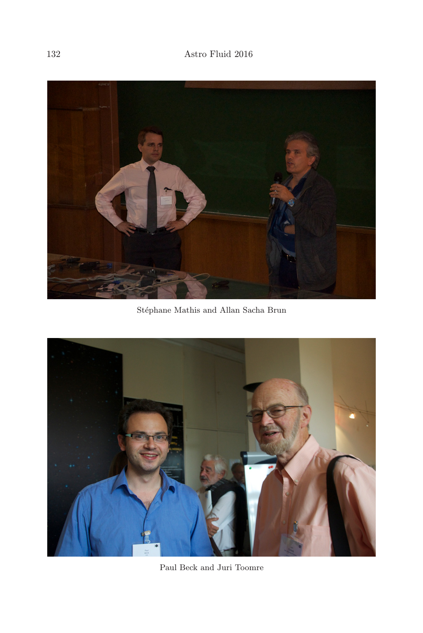

 $\rm St\acute{e}phane$  Mathis and Allan Sacha Brun



Paul Beck and Juri Toomre